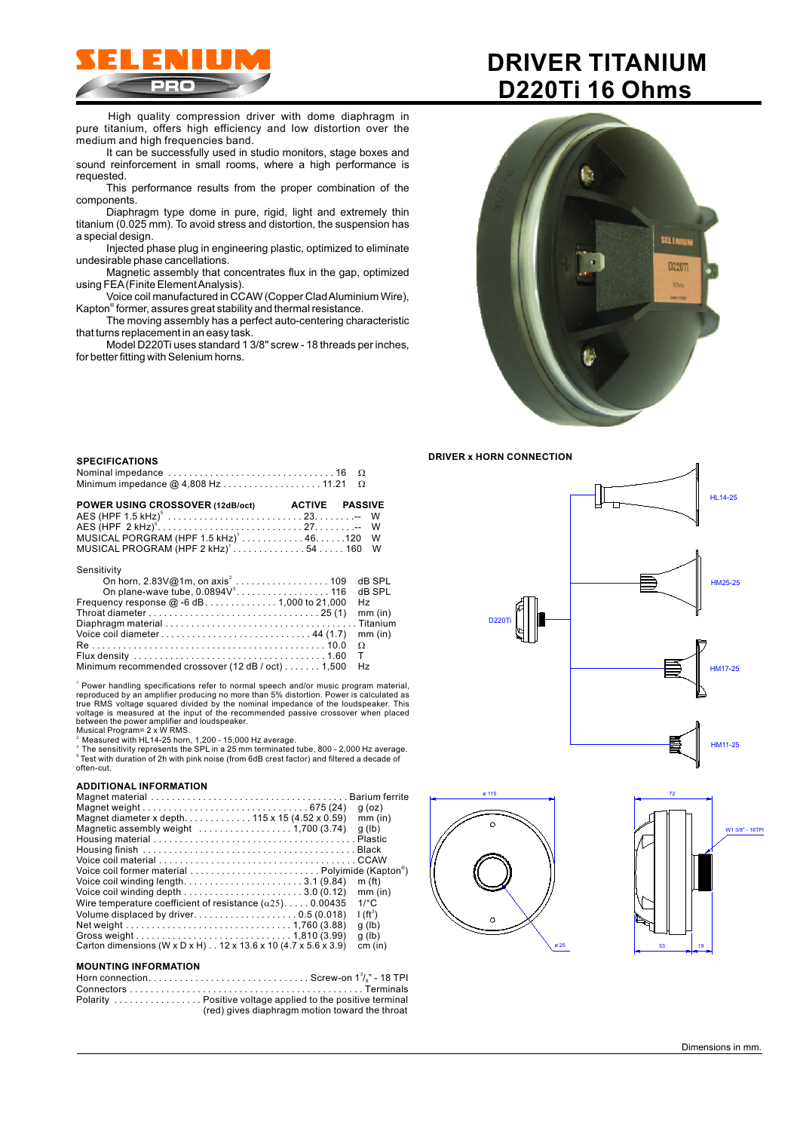

High quality compression driver with dome diaphragm in pure titanium, offers high efficiency and low distortion over the medium and high frequencies band.

It can be successfully used in studio monitors, stage boxes and sound reinforcement in small rooms, where a high performance is requested.

This performance results from the proper combination of the components.

Diaphragm type dome in pure, rigid, light and extremely thin titanium (0.025 mm). To avoid stress and distortion, the suspension has a special design.

Injected phase plug in engineering plastic, optimized to eliminate undesirable phase cancellations.

Magnetic assembly that concentrates flux in the gap, optimized using FEA (Finite Element Analysis).

Voice coil manufactured in CCAW (Copper Clad Aluminium Wire), Kapton® former, assures great stability and thermal resistance.

The moving assembly has a perfect auto-centering characteristic that turns replacement in an easy task.

Model D220Ti uses standard 1 3/8" screw - 18 threads per inches, for better fitting with Selenium horns.

# **DRIVER TITANIUM D220Ti 16 Ohms**



**DRIVER x HORN CONNECTION**







## **SPECIFICATIONS**

| POWER USING CROSSOVER (12dB/oct) ACTIVE PASSIVE  |  |  |
|--------------------------------------------------|--|--|
|                                                  |  |  |
|                                                  |  |  |
| MUSICAL PORGRAM $(HPF 1.5 kHz)^1$ 46120 W        |  |  |
| MUSICAL PROGRAM (HPF 2 kHz) <sup>1</sup> 54160 W |  |  |

#### Sensitivity

|                                                      | H <sub>7</sub> |
|------------------------------------------------------|----------------|
|                                                      |                |
|                                                      |                |
|                                                      |                |
|                                                      |                |
|                                                      |                |
| Minimum recommended crossover (12 dB / oct) 1,500 Hz |                |

1 Power handling specifications refer to normal speech and/or music program material, Musical Program= 2 x W RMS. reproduced by an amplifier producing no more than 5% distortion. Power is calculated as<br>true RMS voltage squared divided by the nominal impedance of the loudspeaker. This<br>voltage is measured at the input of the recommended

ໍ Measured with HL14-25 horn, 1,200 - 15,000 Hz average.<br>ి The sensitivity represents the SPL in a 25 mm terminated tube, 800 - 2,000 Hz average.<br>ຶ Test with duration of 2h with pink noise (from 6dB crest factor) and fil often-cut.

## **ADDITIONAL INFORMATION**

|                                                                        | $q$ (oz)             |
|------------------------------------------------------------------------|----------------------|
|                                                                        | $mm$ (in)            |
| Magnetic assembly weight $\dots\dots\dots\dots\dots\dots$ 1,700 (3.74) | q (lb)               |
|                                                                        |                      |
|                                                                        |                      |
|                                                                        |                      |
|                                                                        |                      |
|                                                                        | m(f <sub>t</sub> )   |
|                                                                        | mm (in)              |
| Wire temperature coefficient of resistance $(\alpha 25)$ 0.00435       | $1$ <sup>o</sup> $C$ |
|                                                                        | $I(ft^3)$            |
|                                                                        | q (lb)               |
|                                                                        | q (lb)               |
| Carton dimensions (W x D x H) 12 x 13.6 x 10 (4.7 x 5.6 x 3.9)         | cm (in)              |
| <b>MOUNTING INFORMATION</b>                                            |                      |
|                                                                        |                      |

| (red) gives diaphragm motion toward the throat |
|------------------------------------------------|